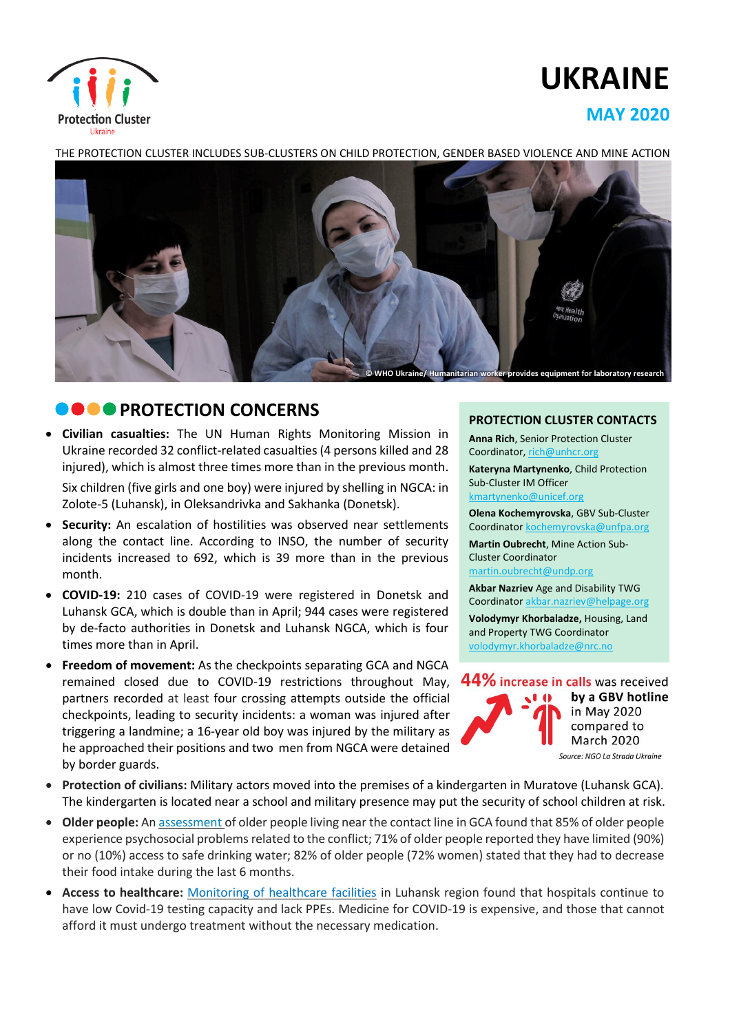

# **UKRAINE**

## **MAY 2020**



THE PROTECTION CLUSTER INCLUDES SUB-CLUSTERS ON CHILD PROTECTION, GENDER BASED VIOLENCE AND MINE ACTION

## **COPROTECTION CONCERNS**

- **Civilian casualties:** The UN Human Rights Monitoring Mission in Ukraine recorded 32 conflict-related casualties (4 persons killed and 28 injured), which is almost three times more than in the previous month. Six children (five girls and one boy) were injured by shelling in NGCA: in Zolote-5 (Luhansk), in Oleksandrivka and Sakhanka (Donetsk).
- **Security:** An escalation of hostilities was observed near settlements along the contact line. According to INSO, the number of security incidents increased to 692, which is 39 more than in the previous month.
- **COVID-19:** 210 cases of COVID-19 were registered in Donetsk and Luhansk GCA, which is double than in April; 944 cases were registered by de-facto authorities in Donetsk and Luhansk NGCA, which is four times more than in April.
- **Freedom of movement:** As the checkpoints separating GCA and NGCA remained closed due to COVID-19 restrictions throughout May, partners recorded at least four crossing attempts outside the official checkpoints, leading to security incidents: a woman was injured after triggering a landmine; a 16-year old boy was injured by the military as he approached their positions and two men from NGCA were detained by border guards.

#### **PROTECTION CLUSTER CONTACTS**

**Anna Rich**, Senior Protection Cluster Coordinator, [rich@unhcr.org](mailto:rich@unhcr.org) **Kateryna Martynenko**, Child Protection Sub-Cluster IM Officer kmartynenko@unicef.org

**Olena Kochemyrovska**, GBV Sub-Cluster Coordinator [kochemyrovska@unfpa.org](mailto:kristesashvili@unfpa.org)

**Martin Oubrecht**, Mine Action Sub-Cluster Coordinator

[martin.oubrecht@undp.org](mailto:martin.oubrecht@undp.org) **Akbar Nazriev** Age and Disability TWG

Coordinator akbar.nazriev@helpage.org

**Volodymyr Khorbaladze,** Housing, Land and Property TWG Coordinator [volodymyr.khorbaladze@nrc.no](mailto:volodymyr.khorbaladze@nrc.no)



- **Protection of civilians:** Military actors moved into the premises of a kindergarten in Muratove (Luhansk GCA). The kindergarten is located near a school and military presence may put the security of school children at risk.
- **Older people:** An [assessment](https://www.humanitarianresponse.info/sites/www.humanitarianresponse.info/files/documents/files/snapshot_older_people_needs_2020_eng.pdf) of older people living near the contact line in GCA found that 85% of older people experience psychosocial problems related to the conflict; 71% of older people reported they have limited (90%) or no (10%) access to safe drinking water; 82% of older people (72% women) stated that they had to decrease their food intake during the last 6 months.
- **Access to healthcare:** [Monitoring](https://vostok-sos.org/zvit-0001-0406-stan-likaren-luhansk/) of healthcare facilities in Luhansk region found that hospitals continue to have low Covid-19 testing capacity and lack PPEs. Medicine for COVID-19 is expensive, and those that cannot afford it must undergo treatment without the necessary medication.